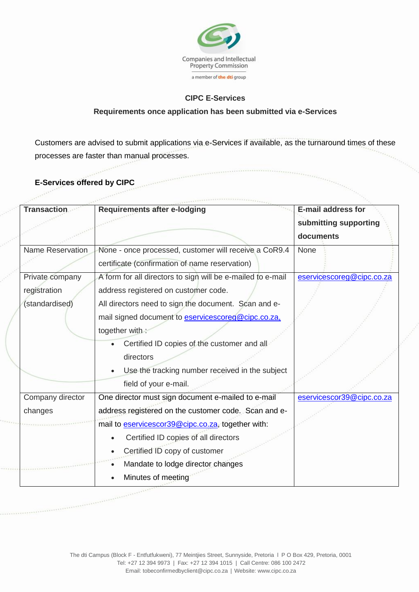

## **CIPC E-Services**

## **Requirements once application has been submitted via e-Services**

Customers are advised to submit applications via e-Services if available, as the turnaround times of these processes are faster than manual processes.

**E-Services offered by CIPC**

www.

10001

 $. . . . . .$ 

 $100 - 10^{20}$ 

| <b>Transaction</b>                                | <b>Requirements after e-lodging</b>                                                                                                                                                                               | <b>E-mail address for</b><br>submitting supporting<br>documents |
|---------------------------------------------------|-------------------------------------------------------------------------------------------------------------------------------------------------------------------------------------------------------------------|-----------------------------------------------------------------|
| <b>Name Reservation</b>                           | None - once processed, customer will receive a CoR9.4<br>certificate (confirmation of name reservation)                                                                                                           | <b>None</b>                                                     |
| Private company<br>registration<br>(standardised) | A form for all directors to sign will be e-mailed to e-mail<br>address registered on customer code.<br>All directors need to sign the document. Scan and e-<br>mail signed document to eservicescoreg@cipc.co.za, | eservicescoreg@cipc.co.za                                       |
|                                                   | together with:<br>Certified ID copies of the customer and all<br>directors<br>Use the tracking number received in the subject<br>field of your e-mail.                                                            |                                                                 |
| Company director<br>changes                       | One director must sign document e-mailed to e-mail<br>address registered on the customer code. Scan and e-                                                                                                        | eservicescor39@cipc.co.za                                       |
|                                                   | mail to eservicescor39@cipc.co.za, together with:<br>Certified ID copies of all directors<br>Certified ID copy of customer<br>Mandate to lodge director changes<br>Minutes of meeting                             |                                                                 |